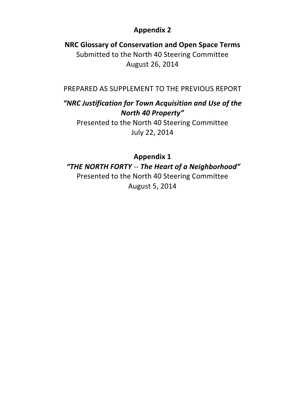# **Appendix 2**

**NRC Glossary of Conservation and Open Space Terms** Submitted to the North 40 Steering Committee August 26, 2014

PREPARED AS SUPPLEMENT TO THE PREVIOUS REPORT

# "NRC Justification for Town Acquisition and Use of the *North 40 Property"*

Presented to the North 40 Steering Committee July 22, 2014

# **Appendix 1**

*"THE NORTH FORTY* -- *The Heart of a Neighborhood"* Presented to the North 40 Steering Committee

August 5, 2014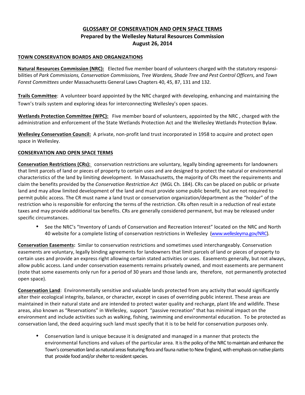# **GLOSSARY OF CONSERVATION AND OPEN SPACE TERMS Prepared by the Wellesley Natural Resources Commission August 26, 2014**

# **TOWN CONSERVATION BOARDS AND ORGANIZATIONS**

**Natural Resources Commission (NRC):** Elected five member board of volunteers charged with the statutory responsibilities of Park Commissions, Conservation Commissions, Tree Wardens, Shade Tree and Pest Control Officers, and Town *Forest Committees* under Massachusetts General Laws Chapters 40, 45, 87, 131 and 132.

**Trails Committee**: A volunteer board appointed by the NRC charged with developing, enhancing and maintaining the Town's trails system and exploring ideas for interconnecting Wellesley's open spaces.

**Wetlands Protection Committee (WPC):** Five member board of volunteers, appointed by the NRC, charged with the administration and enforcement of the State Wetlands Protection Act and the Wellesley Wetlands Protection Bylaw.

**Wellesley Conservation Council:** A private, non-profit land trust incorporated in 1958 to acquire and protect open space in Wellesley.

# **CONSERVATION AND OPEN SPACE TERMS**

**Conservation Restrictions (CRs):** conservation restrictions are voluntary, legally binding agreements for landowners that limit parcels of land or pieces of property to certain uses and are designed to protect the natural or environmental characteristics of the land by limiting development. In Massachusetts, the majority of CRs meet the requirements and claim the benefits provided by the *Conservation Restriction Act* (MGL Ch. 184). CRs can be placed on public or private land and may allow limited development of the land and must provide some public benefit, but are not required to permit public access. The CR must name a land trust or conservation organization/department as the "holder" of the restriction who is responsible for enforcing the terms of the restriction. CRs often result in a reduction of real estate taxes and may provide additional tax benefits. CRs are generally considered permanent, but may be released under specific circumstances.

See the NRC's "Inventory of Lands of Conservation and Recreation Interest" located on the NRC and North 40 website for a complete listing of conservation restrictions in Wellesley (www.wellesleyma.gov/NRC).

**Conservation Easements:** Similar to conservation restrictions and sometimes used interchangeably. Conservation easements are voluntary, legally binding agreements for landowners that limit parcels of land or pieces of property to certain uses and provide an express right allowing certain stated activities or uses. Easements generally, but not always, allow public access. Land under conservation easements remains privately owned, and most easements are permanent (note that some easements only run for a period of 30 years and those lands are, therefore, not permanently protected open space).

**Conservation Land**: Environmentally sensitive and valuable lands protected from any activity that would significantly alter their ecological integrity, balance, or character, except in cases of overriding public interest. These areas are maintained in their natural state and are intended to protect water quality and recharge, plant life and wildlife. These areas, also known as "Reservations" in Wellesley, support "passive recreation" that has minimal impact on the environment and include activities such as walking, fishing, swimming and environmental education. To be protected as conservation land, the deed acquiring such land must specify that it is to be held for conservation purposes only.

Conservation land is unique because it is designated and managed in a manner that protects the environmental functions and values of the particular area. It is the policy of the NRC to maintain and enhance the Town's conservation land as natural areas featuring flora and fauna native to New England, with emphasis on native plants that provide food and/or shelter to resident species.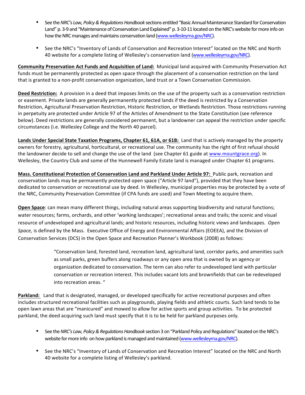- See the *NRC's Law, Policy & Regulations Handbook* sections entitled "Basic Annual Maintenance Standard for Conservation Land" p. 3-9 and "Maintenance of Conservation Land Explained" p. 3-10-11 located on the NRC's website for more info on how the NRC manages and maintains conservation land (www.wellesleyma.gov/NRC).
- See the NRC's "Inventory of Lands of Conservation and Recreation Interest" located on the NRC and North 40 website for a complete listing of Wellesley's conservation land (www.wellesleyma.gov/NRC).

**Community Preservation Act Funds and Acquisition of Land:** Municipal land acquired with Community Preservation Act funds must be permanently protected as open space through the placement of a conservation restriction on the land that is granted to a non-profit conservation organization, land trust or a Town Conservation Commission.

**Deed Restriction:** A provision in a deed that imposes limits on the use of the property such as a conservation restriction or easement. Private lands are generally permanently protected lands if the deed is restricted by a Conservation Restriction, Agricultural Preservation Restriction, Historic Restriction, or Wetlands Restriction. Those restrictions running in perpetuity are protected under Article 97 of the Articles of Amendment to the State Constitution (see reference below). Deed restrictions are generally considered permanent, but a landowner can appeal the restriction under specific circumstances (i.e. Wellesley College and the North 40 parcel).

**Lands Under Special State Taxation Programs, Chapter 61, 61A, or 61B:** Land that is actively managed by the property owners for forestry, agricultural, horticultural, or recreational use. The community has the right of first refusal should the landowner decide to sell and change the use of the land (see Chapter 61 guide at www.mountgrace.org). In Wellesley, the Country Club and some of the Hunnewell Family Estate land is managed under Chapter 61 programs.

**Mass. Constitutional Protection of Conservation Land and Parkland Under Article 97:** Public park, recreation and conservation lands may be permanently protected open space ("Article 97 land"), provided that they have been dedicated to conservation or recreational use by deed. In Wellesley, municipal properties may be protected by a vote of the NRC, Community Preservation Committee (if CPA funds are used) and Town Meeting to acquire them.

**Open Space**: can mean many different things, including natural areas supporting biodiversity and natural functions; water resources; farms, orchards, and other 'working landscapes'; recreational areas and trails; the scenic and visual resource of undeveloped and agricultural lands; and historic resources, including historic views and landscapes. Open Space, is defined by the Mass. Executive Office of Energy and Environmental Affairs (EOEEA), and the Division of Conservation Services (DCS) in the Open Space and Recreation Planner's Workbook (2008) as follows:

> "Conservation land, forested land, recreation land, agricultural land, corridor parks, and amenities such as small parks, green buffers along roadways or any open area that is owned by an agency or organization dedicated to conservation. The term can also refer to undeveloped land with particular conservation or recreation interest. This includes vacant lots and brownfields that can be redeveloped into recreation areas. "

Parkland: Land that is designated, managed, or developed specifically for active recreational purposes and often includes structured recreational facilities such as playgrounds, playing fields and athletic courts. Such land tends to be open lawn areas that are "manicured" and mowed to allow for active sports and group activities. To be protected parkland, the deed acquiring such land must specify that it is to be held for parkland purposes only.

- See the *NRC's Law, Policy & Regulations Handbook* section 3 on "Parkland Policy and Regulations" located on the NRC's website for more info on how parkland is managed and maintained (www.wellesleyma.gov/NRC).
- See the NRC's "Inventory of Lands of Conservation and Recreation Interest" located on the NRC and North 40 website for a complete listing of Wellesley's parkland.